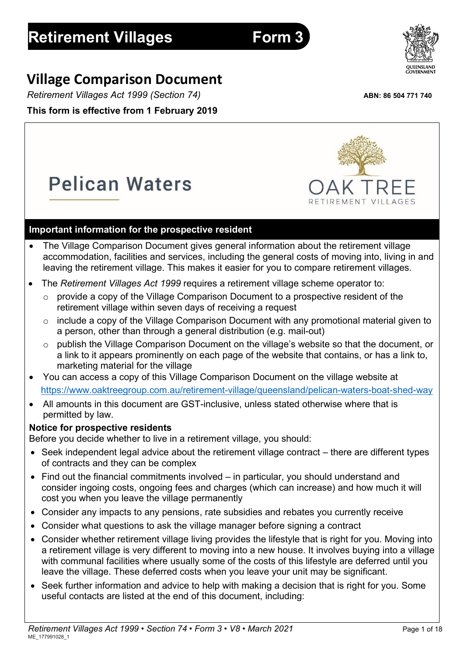# **Village Comparison Document**

*Retirement Villages Act 1999 (Section 74)* **ABN: 86 504 771 740 This form is effective from 1 February 2019**

**Pelican Waters** 

# **Important information for the prospective resident**

- The Village Comparison Document gives general information about the retirement village accommodation, facilities and services, including the general costs of moving into, living in and leaving the retirement village. This makes it easier for you to compare retirement villages.
- The *Retirement Villages Act 1999* requires a retirement village scheme operator to:
	- o provide a copy of the Village Comparison Document to a prospective resident of the retirement village within seven days of receiving a request
	- o include a copy of the Village Comparison Document with any promotional material given to a person, other than through a general distribution (e.g. mail-out)
	- o publish the Village Comparison Document on the village's website so that the document, or a link to it appears prominently on each page of the website that contains, or has a link to, marketing material for the village
- You can access a copy of this Village Comparison Document on the village website at <https://www.oaktreegroup.com.au/retirement-village/queensland/pelican-waters-boat-shed-way>
- All amounts in this document are GST-inclusive, unless stated otherwise where that is permitted by law.

## **Notice for prospective residents**

Before you decide whether to live in a retirement village, you should:

- Seek independent legal advice about the retirement village contract there are different types of contracts and they can be complex
- Find out the financial commitments involved in particular, you should understand and consider ingoing costs, ongoing fees and charges (which can increase) and how much it will cost you when you leave the village permanently
- Consider any impacts to any pensions, rate subsidies and rebates you currently receive
- Consider what questions to ask the village manager before signing a contract
- Consider whether retirement village living provides the lifestyle that is right for you. Moving into a retirement village is very different to moving into a new house. It involves buying into a village with communal facilities where usually some of the costs of this lifestyle are deferred until you leave the village. These deferred costs when you leave your unit may be significant.
- Seek further information and advice to help with making a decision that is right for you. Some useful contacts are listed at the end of this document, including:





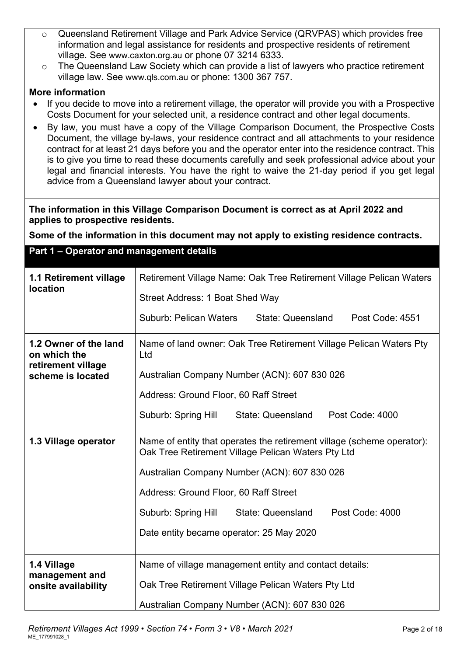- o Queensland Retirement Village and Park Advice Service (QRVPAS) which provides free information and legal assistance for residents and prospective residents of retirement village. See [www.caxton.org.au](http://www.caxton.org.au/) or phone 07 3214 6333.
- o The Queensland Law Society which can provide a list of lawyers who practice retirement village law. See [www.qls.com.au](http://www.qls.com.au/) or phone: 1300 367 757.

#### **More information**

- If you decide to move into a retirement village, the operator will provide you with a Prospective Costs Document for your selected unit, a residence contract and other legal documents.
- By law, you must have a copy of the Village Comparison Document, the Prospective Costs Document, the village by-laws, your residence contract and all attachments to your residence contract for at least 21 days before you and the operator enter into the residence contract. This is to give you time to read these documents carefully and seek professional advice about your legal and financial interests. You have the right to waive the 21-day period if you get legal advice from a Queensland lawyer about your contract.

#### **The information in this Village Comparison Document is correct as at April 2022 and applies to prospective residents.**

**Some of the information in this document may not apply to existing residence contracts.**

#### **Part 1 – Operator and management details**

| 1.1 Retirement village<br><b>location</b>                   | Retirement Village Name: Oak Tree Retirement Village Pelican Waters<br>Street Address: 1 Boat Shed Way                       |  |  |  |
|-------------------------------------------------------------|------------------------------------------------------------------------------------------------------------------------------|--|--|--|
|                                                             | <b>Suburb: Pelican Waters</b><br>State: Queensland<br>Post Code: 4551                                                        |  |  |  |
| 1.2 Owner of the land<br>on which the<br>retirement village | Name of land owner: Oak Tree Retirement Village Pelican Waters Pty<br>Ltd                                                    |  |  |  |
| scheme is located                                           | Australian Company Number (ACN): 607 830 026<br>Address: Ground Floor, 60 Raff Street                                        |  |  |  |
|                                                             | Suburb: Spring Hill State: Queensland<br>Post Code: 4000                                                                     |  |  |  |
| 1.3 Village operator                                        | Name of entity that operates the retirement village (scheme operator):<br>Oak Tree Retirement Village Pelican Waters Pty Ltd |  |  |  |
| Australian Company Number (ACN): 607 830 026                |                                                                                                                              |  |  |  |
|                                                             | Address: Ground Floor, 60 Raff Street                                                                                        |  |  |  |
|                                                             | Suburb: Spring Hill<br>State: Queensland<br>Post Code: 4000                                                                  |  |  |  |
|                                                             | Date entity became operator: 25 May 2020                                                                                     |  |  |  |
| 1.4 Village                                                 | Name of village management entity and contact details:                                                                       |  |  |  |
| management and<br>onsite availability                       | Oak Tree Retirement Village Pelican Waters Pty Ltd                                                                           |  |  |  |
|                                                             | Australian Company Number (ACN): 607 830 026                                                                                 |  |  |  |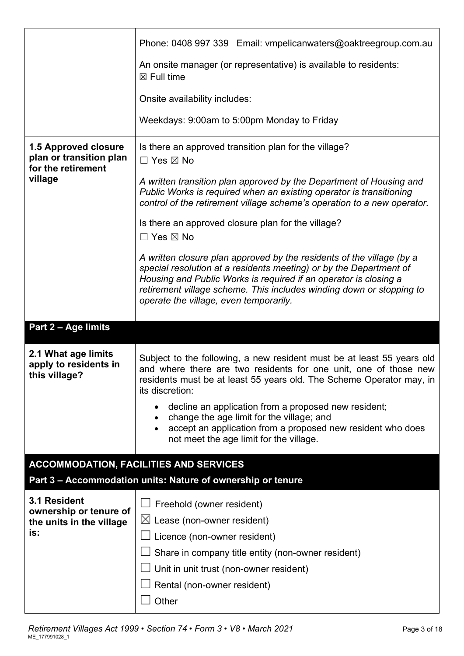|                                                                                  | Phone: 0408 997 339 Email: vmpelicanwaters@oaktreegroup.com.au                                                                                                                                                                                                                                                                    |
|----------------------------------------------------------------------------------|-----------------------------------------------------------------------------------------------------------------------------------------------------------------------------------------------------------------------------------------------------------------------------------------------------------------------------------|
|                                                                                  | An onsite manager (or representative) is available to residents:<br>$\boxtimes$ Full time                                                                                                                                                                                                                                         |
|                                                                                  | Onsite availability includes:                                                                                                                                                                                                                                                                                                     |
|                                                                                  | Weekdays: 9:00am to 5:00pm Monday to Friday                                                                                                                                                                                                                                                                                       |
| 1.5 Approved closure<br>plan or transition plan<br>for the retirement<br>village | Is there an approved transition plan for the village?<br>$\Box$ Yes $\boxtimes$ No<br>A written transition plan approved by the Department of Housing and<br>Public Works is required when an existing operator is transitioning                                                                                                  |
|                                                                                  | control of the retirement village scheme's operation to a new operator.                                                                                                                                                                                                                                                           |
|                                                                                  | Is there an approved closure plan for the village?<br>$\Box$ Yes $\boxtimes$ No                                                                                                                                                                                                                                                   |
|                                                                                  | A written closure plan approved by the residents of the village (by a<br>special resolution at a residents meeting) or by the Department of<br>Housing and Public Works is required if an operator is closing a<br>retirement village scheme. This includes winding down or stopping to<br>operate the village, even temporarily. |
|                                                                                  |                                                                                                                                                                                                                                                                                                                                   |
| Part 2 - Age limits                                                              |                                                                                                                                                                                                                                                                                                                                   |
| 2.1 What age limits<br>apply to residents in<br>this village?                    | Subject to the following, a new resident must be at least 55 years old<br>and where there are two residents for one unit, one of those new<br>residents must be at least 55 years old. The Scheme Operator may, in<br>its discretion:                                                                                             |
|                                                                                  | decline an application from a proposed new resident;                                                                                                                                                                                                                                                                              |
|                                                                                  | change the age limit for the village; and<br>٠<br>accept an application from a proposed new resident who does<br>not meet the age limit for the village.                                                                                                                                                                          |
|                                                                                  | <b>ACCOMMODATION, FACILITIES AND SERVICES</b>                                                                                                                                                                                                                                                                                     |
|                                                                                  | Part 3 - Accommodation units: Nature of ownership or tenure                                                                                                                                                                                                                                                                       |
| 3.1 Resident<br>ownership or tenure of<br>the units in the village               | $\Box$ Freehold (owner resident)<br>$\boxtimes$ Lease (non-owner resident)                                                                                                                                                                                                                                                        |
| is:                                                                              | Licence (non-owner resident)                                                                                                                                                                                                                                                                                                      |
|                                                                                  | Share in company title entity (non-owner resident)                                                                                                                                                                                                                                                                                |
|                                                                                  | Unit in unit trust (non-owner resident)                                                                                                                                                                                                                                                                                           |
|                                                                                  | Rental (non-owner resident)<br>Other                                                                                                                                                                                                                                                                                              |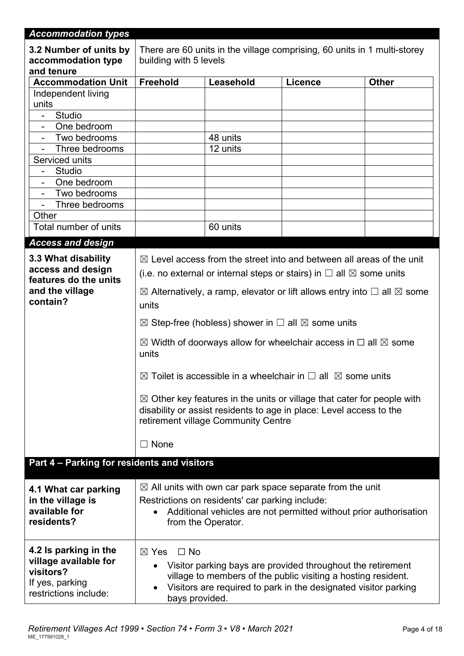| <b>Accommodation types</b>                                 |                                                                                                                                                                                                 |                                                                                |                                                                                     |              |
|------------------------------------------------------------|-------------------------------------------------------------------------------------------------------------------------------------------------------------------------------------------------|--------------------------------------------------------------------------------|-------------------------------------------------------------------------------------|--------------|
| 3.2 Number of units by<br>accommodation type<br>and tenure | There are 60 units in the village comprising, 60 units in 1 multi-storey<br>building with 5 levels                                                                                              |                                                                                |                                                                                     |              |
| <b>Accommodation Unit</b>                                  | <b>Freehold</b>                                                                                                                                                                                 | Leasehold                                                                      | Licence                                                                             | <b>Other</b> |
| Independent living                                         |                                                                                                                                                                                                 |                                                                                |                                                                                     |              |
| units                                                      |                                                                                                                                                                                                 |                                                                                |                                                                                     |              |
| Studio                                                     |                                                                                                                                                                                                 |                                                                                |                                                                                     |              |
| One bedroom<br>$\overline{\phantom{a}}$                    |                                                                                                                                                                                                 |                                                                                |                                                                                     |              |
| Two bedrooms<br>$\blacksquare$<br>Three bedrooms           |                                                                                                                                                                                                 | 48 units<br>12 units                                                           |                                                                                     |              |
| Serviced units                                             |                                                                                                                                                                                                 |                                                                                |                                                                                     |              |
| Studio<br>$\blacksquare$                                   |                                                                                                                                                                                                 |                                                                                |                                                                                     |              |
| One bedroom<br>$\overline{\phantom{a}}$                    |                                                                                                                                                                                                 |                                                                                |                                                                                     |              |
| Two bedrooms<br>$\blacksquare$                             |                                                                                                                                                                                                 |                                                                                |                                                                                     |              |
| Three bedrooms                                             |                                                                                                                                                                                                 |                                                                                |                                                                                     |              |
| Other                                                      |                                                                                                                                                                                                 |                                                                                |                                                                                     |              |
| Total number of units                                      |                                                                                                                                                                                                 | 60 units                                                                       |                                                                                     |              |
| <b>Access and design</b>                                   |                                                                                                                                                                                                 |                                                                                |                                                                                     |              |
| 3.3 What disability                                        |                                                                                                                                                                                                 |                                                                                | $\boxtimes$ Level access from the street into and between all areas of the unit     |              |
| access and design<br>features do the units                 |                                                                                                                                                                                                 |                                                                                | (i.e. no external or internal steps or stairs) in $\Box$ all $\boxtimes$ some units |              |
| and the village                                            | $\boxtimes$ Alternatively, a ramp, elevator or lift allows entry into $\Box$ all $\boxtimes$ some                                                                                               |                                                                                |                                                                                     |              |
| contain?                                                   | units                                                                                                                                                                                           |                                                                                |                                                                                     |              |
|                                                            |                                                                                                                                                                                                 | $\boxtimes$ Step-free (hobless) shower in $\square$ all $\boxtimes$ some units |                                                                                     |              |
|                                                            |                                                                                                                                                                                                 |                                                                                |                                                                                     |              |
|                                                            | $\boxtimes$ Width of doorways allow for wheelchair access in $\Box$ all $\boxtimes$ some<br>units                                                                                               |                                                                                |                                                                                     |              |
|                                                            | $\boxtimes$ Toilet is accessible in a wheelchair in $\square$ all $\boxtimes$ some units                                                                                                        |                                                                                |                                                                                     |              |
|                                                            | $\boxtimes$ Other key features in the units or village that cater for people with<br>disability or assist residents to age in place: Level access to the<br>retirement village Community Centre |                                                                                |                                                                                     |              |
|                                                            | $\Box$ None                                                                                                                                                                                     |                                                                                |                                                                                     |              |
| Part 4 - Parking for residents and visitors                |                                                                                                                                                                                                 |                                                                                |                                                                                     |              |
|                                                            |                                                                                                                                                                                                 |                                                                                | $\boxtimes$ All units with own car park space separate from the unit                |              |
| 4.1 What car parking<br>in the village is                  |                                                                                                                                                                                                 | Restrictions on residents' car parking include:                                |                                                                                     |              |
| available for                                              |                                                                                                                                                                                                 |                                                                                | Additional vehicles are not permitted without prior authorisation                   |              |
| residents?                                                 |                                                                                                                                                                                                 | from the Operator.                                                             |                                                                                     |              |
|                                                            |                                                                                                                                                                                                 |                                                                                |                                                                                     |              |
| 4.2 Is parking in the                                      | $\Box$ No<br>$\boxtimes$ Yes                                                                                                                                                                    |                                                                                |                                                                                     |              |
| village available for                                      |                                                                                                                                                                                                 |                                                                                | Visitor parking bays are provided throughout the retirement                         |              |
| visitors?<br>If yes, parking                               |                                                                                                                                                                                                 |                                                                                | village to members of the public visiting a hosting resident.                       |              |
| restrictions include:                                      | Visitors are required to park in the designated visitor parking                                                                                                                                 |                                                                                |                                                                                     |              |
|                                                            | bays provided.                                                                                                                                                                                  |                                                                                |                                                                                     |              |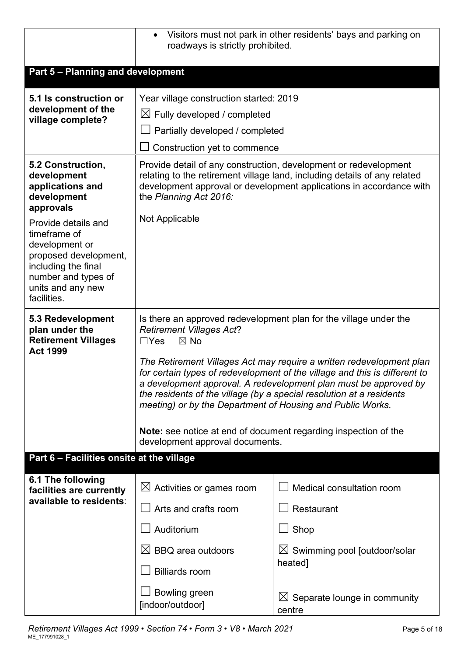|                                                                                                                                                                  | Visitors must not park in other residents' bays and parking on<br>$\bullet$<br>roadways is strictly prohibited.                                                                                                                                                                                                                                                                                                                                                                                                                                                                                                   |                                                     |  |  |
|------------------------------------------------------------------------------------------------------------------------------------------------------------------|-------------------------------------------------------------------------------------------------------------------------------------------------------------------------------------------------------------------------------------------------------------------------------------------------------------------------------------------------------------------------------------------------------------------------------------------------------------------------------------------------------------------------------------------------------------------------------------------------------------------|-----------------------------------------------------|--|--|
| Part 5 - Planning and development                                                                                                                                |                                                                                                                                                                                                                                                                                                                                                                                                                                                                                                                                                                                                                   |                                                     |  |  |
| 5.1 Is construction or<br>development of the<br>village complete?                                                                                                | Year village construction started: 2019<br>$\boxtimes$ Fully developed / completed<br>Partially developed / completed<br>Construction yet to commence<br>$\Box$                                                                                                                                                                                                                                                                                                                                                                                                                                                   |                                                     |  |  |
| 5.2 Construction,<br>development<br>applications and<br>development<br>approvals                                                                                 | Provide detail of any construction, development or redevelopment<br>relating to the retirement village land, including details of any related<br>development approval or development applications in accordance with<br>the Planning Act 2016.                                                                                                                                                                                                                                                                                                                                                                    |                                                     |  |  |
| Provide details and<br>timeframe of<br>development or<br>proposed development,<br>including the final<br>number and types of<br>units and any new<br>facilities. | Not Applicable                                                                                                                                                                                                                                                                                                                                                                                                                                                                                                                                                                                                    |                                                     |  |  |
| 5.3 Redevelopment<br>plan under the<br><b>Retirement Villages</b><br><b>Act 1999</b>                                                                             | Is there an approved redevelopment plan for the village under the<br><b>Retirement Villages Act?</b><br>$\Box$ Yes<br>$\boxtimes$ No<br>The Retirement Villages Act may require a written redevelopment plan<br>for certain types of redevelopment of the village and this is different to<br>a development approval. A redevelopment plan must be approved by<br>the residents of the village (by a special resolution at a residents<br>meeting) or by the Department of Housing and Public Works.<br><b>Note:</b> see notice at end of document regarding inspection of the<br>development approval documents. |                                                     |  |  |
| Part 6 - Facilities onsite at the village                                                                                                                        |                                                                                                                                                                                                                                                                                                                                                                                                                                                                                                                                                                                                                   |                                                     |  |  |
| 6.1 The following<br>facilities are currently<br>available to residents:                                                                                         | Activities or games room<br>$\boxtimes$<br>Arts and crafts room                                                                                                                                                                                                                                                                                                                                                                                                                                                                                                                                                   | Medical consultation room<br>Restaurant             |  |  |
|                                                                                                                                                                  | Auditorium                                                                                                                                                                                                                                                                                                                                                                                                                                                                                                                                                                                                        | Shop                                                |  |  |
|                                                                                                                                                                  | $\bowtie$<br><b>BBQ</b> area outdoors<br><b>Billiards room</b>                                                                                                                                                                                                                                                                                                                                                                                                                                                                                                                                                    | $\boxtimes$ Swimming pool [outdoor/solar<br>heated] |  |  |
|                                                                                                                                                                  | Bowling green<br>[indoor/outdoor]                                                                                                                                                                                                                                                                                                                                                                                                                                                                                                                                                                                 | $\boxtimes$ Separate lounge in community<br>centre  |  |  |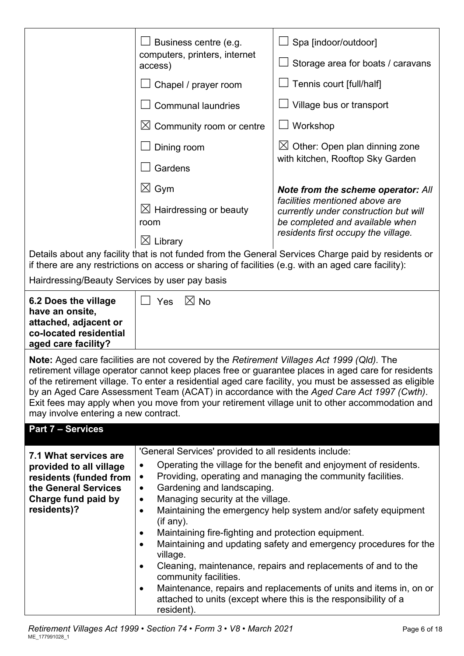|                                                                                                                                                                                                            | Business centre (e.g.<br>computers, printers, internet<br>access) | Spa [indoor/outdoor]<br>Storage area for boats / caravans                                                  |  |
|------------------------------------------------------------------------------------------------------------------------------------------------------------------------------------------------------------|-------------------------------------------------------------------|------------------------------------------------------------------------------------------------------------|--|
|                                                                                                                                                                                                            | Chapel / prayer room                                              | Tennis court [full/half]                                                                                   |  |
|                                                                                                                                                                                                            | <b>Communal laundries</b>                                         | Village bus or transport                                                                                   |  |
|                                                                                                                                                                                                            | $\boxtimes$ Community room or centre                              | Workshop                                                                                                   |  |
|                                                                                                                                                                                                            | Dining room                                                       | Other: Open plan dinning zone<br>$\boxtimes$                                                               |  |
|                                                                                                                                                                                                            | Gardens                                                           | with kitchen, Rooftop Sky Garden                                                                           |  |
|                                                                                                                                                                                                            | $\boxtimes$ Gym                                                   | Note from the scheme operator: All                                                                         |  |
|                                                                                                                                                                                                            | $\boxtimes$ Hairdressing or beauty<br>room                        | facilities mentioned above are<br>currently under construction but will<br>be completed and available when |  |
|                                                                                                                                                                                                            | $\boxtimes$ Library                                               | residents first occupy the village.                                                                        |  |
| Details about any facility that is not funded from the General Services Charge paid by residents or<br>if there are any restrictions on access or sharing of facilities (e.g. with an aged care facility): |                                                                   |                                                                                                            |  |
| Hairdressing/Beauty Services by user pay basis                                                                                                                                                             |                                                                   |                                                                                                            |  |
|                                                                                                                                                                                                            | $\overline{\phantom{0}}$                                          |                                                                                                            |  |

**6.2 Does the village have an onsite, attached, adjacent or co-located residential aged care facility?**

**Part 7 – Services**

**Note:** Aged care facilities are not covered by the *Retirement Villages Act 1999 (Qld).* The retirement village operator cannot keep places free or guarantee places in aged care for residents of the retirement village. To enter a residential aged care facility, you must be assessed as eligible by an Aged Care Assessment Team (ACAT) in accordance with the *Aged Care Act 1997 (Cwth)*. Exit fees may apply when you move from your retirement village unit to other accommodation and may involve entering a new contract.

| Fail / - Seivices                                                                                                                        |                                                                                                                                                                                                                                                                                                                                                                                     |
|------------------------------------------------------------------------------------------------------------------------------------------|-------------------------------------------------------------------------------------------------------------------------------------------------------------------------------------------------------------------------------------------------------------------------------------------------------------------------------------------------------------------------------------|
| 7.1 What services are<br>provided to all village<br>residents (funded from<br>the General Services<br>Charge fund paid by<br>residents)? | 'General Services' provided to all residents include:<br>Operating the village for the benefit and enjoyment of residents.<br>Providing, operating and managing the community facilities.<br>Gardening and landscaping.<br>Managing security at the village.<br>Maintaining the emergency help system and/or safety equipment<br>(if any).                                          |
|                                                                                                                                          | Maintaining fire-fighting and protection equipment.<br>Maintaining and updating safety and emergency procedures for the<br>village.<br>Cleaning, maintenance, repairs and replacements of and to the<br>community facilities.<br>Maintenance, repairs and replacements of units and items in, on or<br>attached to units (except where this is the responsibility of a<br>resident) |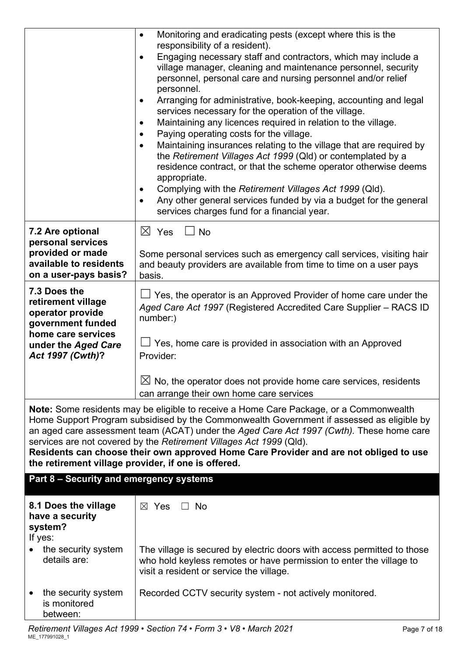|                                                                                                   | Monitoring and eradicating pests (except where this is the<br>$\bullet$<br>responsibility of a resident).<br>Engaging necessary staff and contractors, which may include a<br>$\bullet$<br>village manager, cleaning and maintenance personnel, security<br>personnel, personal care and nursing personnel and/or relief<br>personnel.<br>Arranging for administrative, book-keeping, accounting and legal<br>services necessary for the operation of the village.<br>Maintaining any licences required in relation to the village.<br>Paying operating costs for the village.<br>Maintaining insurances relating to the village that are required by<br>the Retirement Villages Act 1999 (Qld) or contemplated by a<br>residence contract, or that the scheme operator otherwise deems<br>appropriate.<br>Complying with the Retirement Villages Act 1999 (Qld).<br>Any other general services funded by via a budget for the general<br>services charges fund for a financial year. |  |  |
|---------------------------------------------------------------------------------------------------|---------------------------------------------------------------------------------------------------------------------------------------------------------------------------------------------------------------------------------------------------------------------------------------------------------------------------------------------------------------------------------------------------------------------------------------------------------------------------------------------------------------------------------------------------------------------------------------------------------------------------------------------------------------------------------------------------------------------------------------------------------------------------------------------------------------------------------------------------------------------------------------------------------------------------------------------------------------------------------------|--|--|
| 7.2 Are optional                                                                                  | $\boxtimes$ Yes<br>$\Box$ No                                                                                                                                                                                                                                                                                                                                                                                                                                                                                                                                                                                                                                                                                                                                                                                                                                                                                                                                                          |  |  |
| personal services<br>provided or made<br>available to residents<br>on a user-pays basis?          | Some personal services such as emergency call services, visiting hair<br>and beauty providers are available from time to time on a user pays<br>basis.                                                                                                                                                                                                                                                                                                                                                                                                                                                                                                                                                                                                                                                                                                                                                                                                                                |  |  |
| 7.3 Does the<br>retirement village<br>operator provide<br>government funded<br>home care services | $\Box$ Yes, the operator is an Approved Provider of home care under the<br>Aged Care Act 1997 (Registered Accredited Care Supplier - RACS ID<br>number:)                                                                                                                                                                                                                                                                                                                                                                                                                                                                                                                                                                                                                                                                                                                                                                                                                              |  |  |
| under the Aged Care<br>Act 1997 (Cwth)?                                                           | Yes, home care is provided in association with an Approved<br>Provider:                                                                                                                                                                                                                                                                                                                                                                                                                                                                                                                                                                                                                                                                                                                                                                                                                                                                                                               |  |  |
|                                                                                                   | $\boxtimes$ No, the operator does not provide home care services, residents<br>can arrange their own home care services                                                                                                                                                                                                                                                                                                                                                                                                                                                                                                                                                                                                                                                                                                                                                                                                                                                               |  |  |
| the retirement village provider, if one is offered.                                               | <b>Note:</b> Some residents may be eligible to receive a Home Care Package, or a Commonwealth<br>Home Support Program subsidised by the Commonwealth Government if assessed as eligible by<br>an aged care assessment team (ACAT) under the Aged Care Act 1997 (Cwth). These home care<br>services are not covered by the Retirement Villages Act 1999 (Qld).<br>Residents can choose their own approved Home Care Provider and are not obliged to use                                                                                                                                                                                                                                                                                                                                                                                                                                                                                                                                |  |  |
| Part 8 - Security and emergency systems                                                           |                                                                                                                                                                                                                                                                                                                                                                                                                                                                                                                                                                                                                                                                                                                                                                                                                                                                                                                                                                                       |  |  |
| 8.1 Does the village<br>have a security<br>system?<br>If yes:                                     | $\boxtimes$ Yes<br><b>No</b>                                                                                                                                                                                                                                                                                                                                                                                                                                                                                                                                                                                                                                                                                                                                                                                                                                                                                                                                                          |  |  |
| the security system<br>details are:                                                               | The village is secured by electric doors with access permitted to those<br>who hold keyless remotes or have permission to enter the village to<br>visit a resident or service the village.                                                                                                                                                                                                                                                                                                                                                                                                                                                                                                                                                                                                                                                                                                                                                                                            |  |  |
| the security system<br>is monitored<br>between:                                                   | Recorded CCTV security system - not actively monitored.                                                                                                                                                                                                                                                                                                                                                                                                                                                                                                                                                                                                                                                                                                                                                                                                                                                                                                                               |  |  |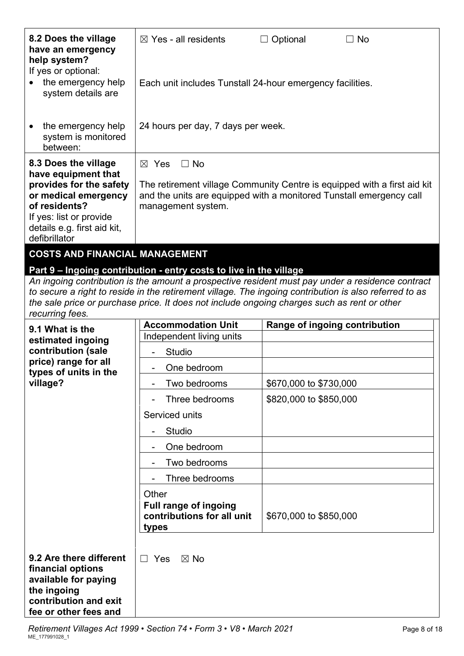| 8.2 Does the village<br>have an emergency<br>help system?<br>If yes or optional:                                                                                                           | $\boxtimes$ Yes - all residents<br>$\Box$ No<br>$\Box$ Optional                                                                                                                                       |                        |                               |  |  |
|--------------------------------------------------------------------------------------------------------------------------------------------------------------------------------------------|-------------------------------------------------------------------------------------------------------------------------------------------------------------------------------------------------------|------------------------|-------------------------------|--|--|
| the emergency help<br>system details are                                                                                                                                                   | Each unit includes Tunstall 24-hour emergency facilities.                                                                                                                                             |                        |                               |  |  |
| the emergency help<br>system is monitored<br>between:                                                                                                                                      | 24 hours per day, 7 days per week.                                                                                                                                                                    |                        |                               |  |  |
| 8.3 Does the village<br>have equipment that<br>provides for the safety<br>or medical emergency<br>of residents?<br>If yes: list or provide<br>details e.g. first aid kit,<br>defibrillator | $\boxtimes$ Yes<br>$\Box$ No<br>The retirement village Community Centre is equipped with a first aid kit<br>and the units are equipped with a monitored Tunstall emergency call<br>management system. |                        |                               |  |  |
| <b>COSTS AND FINANCIAL MANAGEMENT</b>                                                                                                                                                      |                                                                                                                                                                                                       |                        |                               |  |  |
|                                                                                                                                                                                            |                                                                                                                                                                                                       |                        |                               |  |  |
|                                                                                                                                                                                            | Part 9 - Ingoing contribution - entry costs to live in the village<br>An ingoing contribution is the amount a prospective resident must pay under a residence contract                                |                        |                               |  |  |
|                                                                                                                                                                                            | to secure a right to reside in the retirement village. The ingoing contribution is also referred to as                                                                                                |                        |                               |  |  |
|                                                                                                                                                                                            | the sale price or purchase price. It does not include ongoing charges such as rent or other                                                                                                           |                        |                               |  |  |
| recurring fees.                                                                                                                                                                            |                                                                                                                                                                                                       |                        |                               |  |  |
|                                                                                                                                                                                            |                                                                                                                                                                                                       |                        |                               |  |  |
| 9.1 What is the                                                                                                                                                                            | <b>Accommodation Unit</b>                                                                                                                                                                             |                        | Range of ingoing contribution |  |  |
| estimated ingoing                                                                                                                                                                          | Independent living units                                                                                                                                                                              |                        |                               |  |  |
| contribution (sale<br>price) range for all                                                                                                                                                 | <b>Studio</b>                                                                                                                                                                                         |                        |                               |  |  |
| types of units in the                                                                                                                                                                      | One bedroom                                                                                                                                                                                           |                        |                               |  |  |
| village?                                                                                                                                                                                   | Two bedrooms                                                                                                                                                                                          | \$670,000 to \$730,000 |                               |  |  |
|                                                                                                                                                                                            | Three bedrooms                                                                                                                                                                                        | \$820,000 to \$850,000 |                               |  |  |
|                                                                                                                                                                                            | Serviced units                                                                                                                                                                                        |                        |                               |  |  |
|                                                                                                                                                                                            | Studio                                                                                                                                                                                                |                        |                               |  |  |
|                                                                                                                                                                                            | One bedroom                                                                                                                                                                                           |                        |                               |  |  |
|                                                                                                                                                                                            | Two bedrooms                                                                                                                                                                                          |                        |                               |  |  |
|                                                                                                                                                                                            | Three bedrooms                                                                                                                                                                                        |                        |                               |  |  |
|                                                                                                                                                                                            | Other                                                                                                                                                                                                 |                        |                               |  |  |
|                                                                                                                                                                                            | <b>Full range of ingoing</b>                                                                                                                                                                          |                        |                               |  |  |
|                                                                                                                                                                                            | contributions for all unit                                                                                                                                                                            | \$670,000 to \$850,000 |                               |  |  |
|                                                                                                                                                                                            | types                                                                                                                                                                                                 |                        |                               |  |  |
| 9.2 Are there different<br>financial options<br>available for paying<br>the ingoing<br>contribution and exit<br>fee or other fees and                                                      | Yes<br>$\boxtimes$ No<br>$\Box$                                                                                                                                                                       |                        |                               |  |  |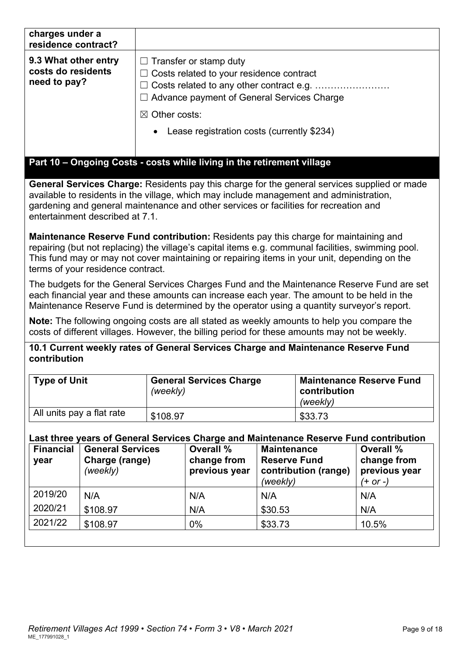| charges under a<br>residence contract?                     |                                                                                                                                                                                                                              |
|------------------------------------------------------------|------------------------------------------------------------------------------------------------------------------------------------------------------------------------------------------------------------------------------|
| 9.3 What other entry<br>costs do residents<br>need to pay? | $\Box$ Transfer or stamp duty<br>$\Box$ Costs related to your residence contract<br>$\Box$ Advance payment of General Services Charge<br>$\boxtimes$ Other costs:<br>Lease registration costs (currently \$234)<br>$\bullet$ |
|                                                            | Part 10 – Ongoing Costs - costs while living in the retirement village                                                                                                                                                       |

**General Services Charge:** Residents pay this charge for the general services supplied or made available to residents in the village, which may include management and administration, gardening and general maintenance and other services or facilities for recreation and entertainment described at 7.1.

**Maintenance Reserve Fund contribution:** Residents pay this charge for maintaining and repairing (but not replacing) the village's capital items e.g. communal facilities, swimming pool. This fund may or may not cover maintaining or repairing items in your unit, depending on the terms of your residence contract.

The budgets for the General Services Charges Fund and the Maintenance Reserve Fund are set each financial year and these amounts can increase each year. The amount to be held in the Maintenance Reserve Fund is determined by the operator using a quantity surveyor's report.

**Note:** The following ongoing costs are all stated as weekly amounts to help you compare the costs of different villages. However, the billing period for these amounts may not be weekly.

**10.1 Current weekly rates of General Services Charge and Maintenance Reserve Fund contribution**

| <b>Type of Unit</b>       | <b>General Services Charge</b><br>(weekly) | <b>Maintenance Reserve Fund</b><br>contribution<br>(weekly) |
|---------------------------|--------------------------------------------|-------------------------------------------------------------|
| All units pay a flat rate | \$108.97                                   | \$33.73                                                     |

## **Last three years of General Services Charge and Maintenance Reserve Fund contribution**

| <b>Financial</b><br>year | <b>General Services</b><br>Charge (range)<br>(weekly) | <b>Overall %</b><br>change from<br>previous year | <b>Maintenance</b><br><b>Reserve Fund</b><br>contribution (range)<br>(weekly) | <b>Overall %</b><br>change from<br>previous year<br>$(+ or -)$ |
|--------------------------|-------------------------------------------------------|--------------------------------------------------|-------------------------------------------------------------------------------|----------------------------------------------------------------|
| 2019/20                  | N/A                                                   | N/A                                              | N/A                                                                           | N/A                                                            |
| 2020/21                  | \$108.97                                              | N/A                                              | \$30.53                                                                       | N/A                                                            |
| 2021/22                  | \$108.97                                              | $0\%$                                            | \$33.73                                                                       | 10.5%                                                          |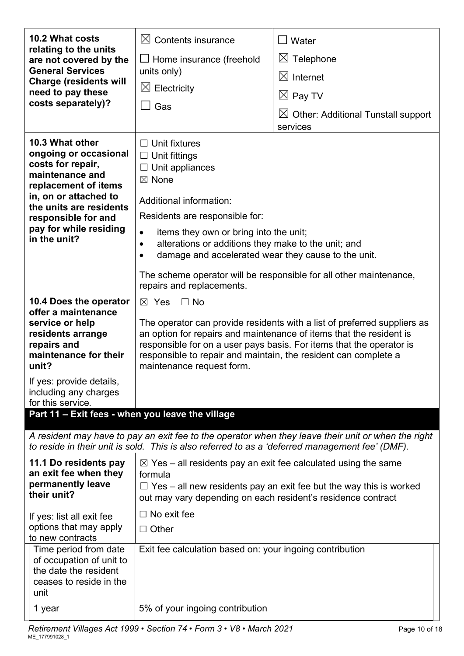| <b>10.2 What costs</b>                                                                                                                                                                                                        | $\boxtimes$ Contents insurance                                                                                                                                                                                                                                                                                                                                                                                                | $\Box$ Water                                                                                        |  |  |
|-------------------------------------------------------------------------------------------------------------------------------------------------------------------------------------------------------------------------------|-------------------------------------------------------------------------------------------------------------------------------------------------------------------------------------------------------------------------------------------------------------------------------------------------------------------------------------------------------------------------------------------------------------------------------|-----------------------------------------------------------------------------------------------------|--|--|
| relating to the units<br>are not covered by the                                                                                                                                                                               | $\Box$ Home insurance (freehold                                                                                                                                                                                                                                                                                                                                                                                               | $\boxtimes$ Telephone                                                                               |  |  |
| <b>General Services</b><br><b>Charge (residents will</b>                                                                                                                                                                      | units only)                                                                                                                                                                                                                                                                                                                                                                                                                   | $\boxtimes$ Internet                                                                                |  |  |
| need to pay these                                                                                                                                                                                                             | $\boxtimes$ Electricity<br>Gas                                                                                                                                                                                                                                                                                                                                                                                                | $\boxtimes$ Pay TV                                                                                  |  |  |
| costs separately)?                                                                                                                                                                                                            |                                                                                                                                                                                                                                                                                                                                                                                                                               | $\boxtimes$ Other: Additional Tunstall support<br>services                                          |  |  |
| 10.3 What other<br>ongoing or occasional<br>costs for repair,<br>maintenance and<br>replacement of items<br>in, on or attached to<br>the units are residents<br>responsible for and<br>pay for while residing<br>in the unit? | $\Box$ Unit fixtures<br>$\Box$ Unit fittings<br>Unit appliances<br>$\boxtimes$ None<br>Additional information:<br>Residents are responsible for:<br>items they own or bring into the unit;<br>٠<br>alterations or additions they make to the unit; and<br>$\bullet$<br>damage and accelerated wear they cause to the unit.<br>The scheme operator will be responsible for all other maintenance,<br>repairs and replacements. |                                                                                                     |  |  |
| 10.4 Does the operator<br>offer a maintenance<br>service or help<br>residents arrange<br>repairs and<br>maintenance for their<br>unit?                                                                                        | $\boxtimes$ Yes<br>$\Box$ No<br>The operator can provide residents with a list of preferred suppliers as<br>an option for repairs and maintenance of items that the resident is<br>responsible for on a user pays basis. For items that the operator is<br>responsible to repair and maintain, the resident can complete a<br>maintenance request form.                                                                       |                                                                                                     |  |  |
| If yes: provide details,<br>including any charges<br>for this service.                                                                                                                                                        |                                                                                                                                                                                                                                                                                                                                                                                                                               |                                                                                                     |  |  |
| Part 11 - Exit fees - when you leave the village                                                                                                                                                                              |                                                                                                                                                                                                                                                                                                                                                                                                                               |                                                                                                     |  |  |
|                                                                                                                                                                                                                               | to reside in their unit is sold. This is also referred to as a 'deferred management fee' (DMF).                                                                                                                                                                                                                                                                                                                               | A resident may have to pay an exit fee to the operator when they leave their unit or when the right |  |  |
| 11.1 Do residents pay<br>an exit fee when they<br>permanently leave<br>their unit?                                                                                                                                            | $\boxtimes$ Yes – all residents pay an exit fee calculated using the same<br>formula<br>out may vary depending on each resident's residence contract                                                                                                                                                                                                                                                                          | $\Box$ Yes – all new residents pay an exit fee but the way this is worked                           |  |  |
| If yes: list all exit fee<br>options that may apply<br>to new contracts                                                                                                                                                       | $\Box$ No exit fee<br>$\Box$ Other                                                                                                                                                                                                                                                                                                                                                                                            |                                                                                                     |  |  |
| Time period from date<br>of occupation of unit to<br>the date the resident<br>ceases to reside in the<br>unit                                                                                                                 | Exit fee calculation based on: your ingoing contribution                                                                                                                                                                                                                                                                                                                                                                      |                                                                                                     |  |  |
| 1 year                                                                                                                                                                                                                        | 5% of your ingoing contribution                                                                                                                                                                                                                                                                                                                                                                                               |                                                                                                     |  |  |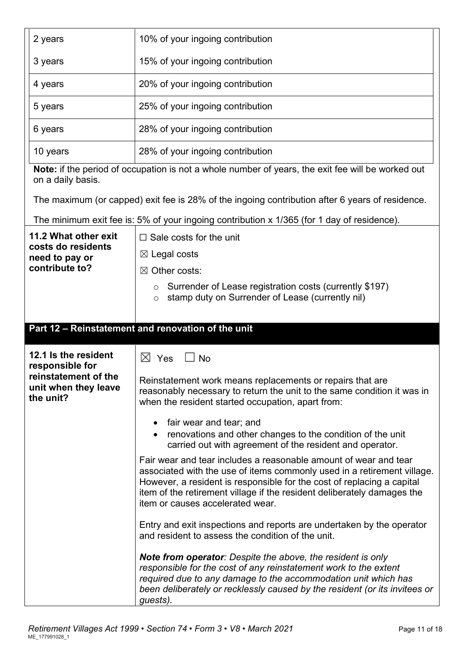| 2 years                                                                                              | 10% of your ingoing contribution                                                                                                                                                                                                                                                                                                     |  |
|------------------------------------------------------------------------------------------------------|--------------------------------------------------------------------------------------------------------------------------------------------------------------------------------------------------------------------------------------------------------------------------------------------------------------------------------------|--|
| 3 years                                                                                              | 15% of your ingoing contribution                                                                                                                                                                                                                                                                                                     |  |
| 4 years                                                                                              | 20% of your ingoing contribution                                                                                                                                                                                                                                                                                                     |  |
| 5 years                                                                                              | 25% of your ingoing contribution                                                                                                                                                                                                                                                                                                     |  |
| 6 years                                                                                              | 28% of your ingoing contribution                                                                                                                                                                                                                                                                                                     |  |
| 10 years                                                                                             | 28% of your ingoing contribution                                                                                                                                                                                                                                                                                                     |  |
| on a daily basis.                                                                                    | Note: if the period of occupation is not a whole number of years, the exit fee will be worked out                                                                                                                                                                                                                                    |  |
|                                                                                                      | The maximum (or capped) exit fee is 28% of the ingoing contribution after 6 years of residence.                                                                                                                                                                                                                                      |  |
|                                                                                                      | The minimum exit fee is: 5% of your ingoing contribution x 1/365 (for 1 day of residence).                                                                                                                                                                                                                                           |  |
| 11.2 What other exit                                                                                 | $\Box$ Sale costs for the unit                                                                                                                                                                                                                                                                                                       |  |
| costs do residents<br>need to pay or                                                                 | $\boxtimes$ Legal costs                                                                                                                                                                                                                                                                                                              |  |
| contribute to?                                                                                       | $\boxtimes$ Other costs:                                                                                                                                                                                                                                                                                                             |  |
|                                                                                                      | Surrender of Lease registration costs (currently \$197)<br>$\circ$<br>stamp duty on Surrender of Lease (currently nil)<br>$\circ$                                                                                                                                                                                                    |  |
|                                                                                                      | Part 12 - Reinstatement and renovation of the unit                                                                                                                                                                                                                                                                                   |  |
|                                                                                                      |                                                                                                                                                                                                                                                                                                                                      |  |
| 12.1 Is the resident<br>responsible for<br>reinstatement of the<br>unit when they leave<br>the unit? | $\bowtie$<br>Yes<br>No                                                                                                                                                                                                                                                                                                               |  |
|                                                                                                      | Reinstatement work means replacements or repairs that are<br>reasonably necessary to return the unit to the same condition it was in<br>when the resident started occupation, apart from:                                                                                                                                            |  |
|                                                                                                      | fair wear and tear; and<br>$\bullet$                                                                                                                                                                                                                                                                                                 |  |
|                                                                                                      | renovations and other changes to the condition of the unit<br>carried out with agreement of the resident and operator.                                                                                                                                                                                                               |  |
|                                                                                                      | Fair wear and tear includes a reasonable amount of wear and tear<br>associated with the use of items commonly used in a retirement village.<br>However, a resident is responsible for the cost of replacing a capital<br>item of the retirement village if the resident deliberately damages the<br>item or causes accelerated wear. |  |
|                                                                                                      |                                                                                                                                                                                                                                                                                                                                      |  |
|                                                                                                      | Entry and exit inspections and reports are undertaken by the operator<br>and resident to assess the condition of the unit.                                                                                                                                                                                                           |  |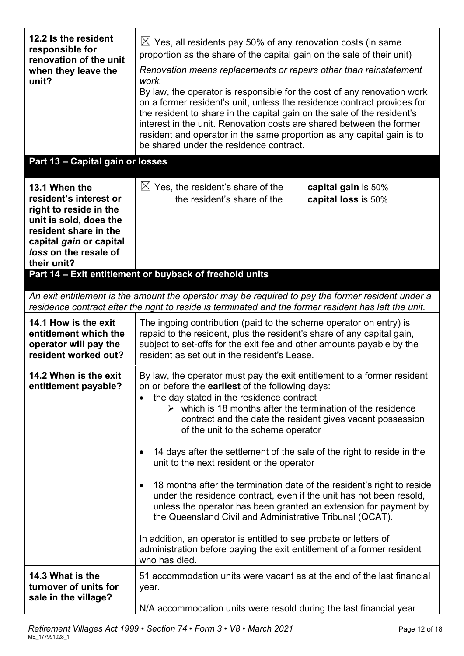| 12.2 Is the resident<br>responsible for<br>renovation of the unit<br>when they leave the<br>unit?<br>Part 13 - Capital gain or losses                                                   | $\boxtimes$ Yes, all residents pay 50% of any renovation costs (in same<br>proportion as the share of the capital gain on the sale of their unit)<br>Renovation means replacements or repairs other than reinstatement<br>work.<br>By law, the operator is responsible for the cost of any renovation work<br>on a former resident's unit, unless the residence contract provides for<br>the resident to share in the capital gain on the sale of the resident's<br>interest in the unit. Renovation costs are shared between the former<br>resident and operator in the same proportion as any capital gain is to<br>be shared under the residence contract.                                                                                                                                                                                                                                                                            |
|-----------------------------------------------------------------------------------------------------------------------------------------------------------------------------------------|------------------------------------------------------------------------------------------------------------------------------------------------------------------------------------------------------------------------------------------------------------------------------------------------------------------------------------------------------------------------------------------------------------------------------------------------------------------------------------------------------------------------------------------------------------------------------------------------------------------------------------------------------------------------------------------------------------------------------------------------------------------------------------------------------------------------------------------------------------------------------------------------------------------------------------------|
|                                                                                                                                                                                         |                                                                                                                                                                                                                                                                                                                                                                                                                                                                                                                                                                                                                                                                                                                                                                                                                                                                                                                                          |
| 13.1 When the<br>resident's interest or<br>right to reside in the<br>unit is sold, does the<br>resident share in the<br>capital gain or capital<br>loss on the resale of<br>their unit? | $\boxtimes$ Yes, the resident's share of the<br>capital gain is 50%<br>the resident's share of the<br>capital loss is 50%                                                                                                                                                                                                                                                                                                                                                                                                                                                                                                                                                                                                                                                                                                                                                                                                                |
|                                                                                                                                                                                         | Part 14 - Exit entitlement or buyback of freehold units                                                                                                                                                                                                                                                                                                                                                                                                                                                                                                                                                                                                                                                                                                                                                                                                                                                                                  |
|                                                                                                                                                                                         | An exit entitlement is the amount the operator may be required to pay the former resident under a                                                                                                                                                                                                                                                                                                                                                                                                                                                                                                                                                                                                                                                                                                                                                                                                                                        |
|                                                                                                                                                                                         | residence contract after the right to reside is terminated and the former resident has left the unit.                                                                                                                                                                                                                                                                                                                                                                                                                                                                                                                                                                                                                                                                                                                                                                                                                                    |
| 14.1 How is the exit<br>entitlement which the<br>operator will pay the<br>resident worked out?                                                                                          | The ingoing contribution (paid to the scheme operator on entry) is<br>repaid to the resident, plus the resident's share of any capital gain,<br>subject to set-offs for the exit fee and other amounts payable by the<br>resident as set out in the resident's Lease.                                                                                                                                                                                                                                                                                                                                                                                                                                                                                                                                                                                                                                                                    |
| 14.2 When is the exit<br>entitlement payable?                                                                                                                                           | By law, the operator must pay the exit entitlement to a former resident<br>on or before the <b>earliest</b> of the following days:<br>the day stated in the residence contract<br>$\triangleright$ which is 18 months after the termination of the residence<br>contract and the date the resident gives vacant possession<br>of the unit to the scheme operator<br>14 days after the settlement of the sale of the right to reside in the<br>unit to the next resident or the operator<br>18 months after the termination date of the resident's right to reside<br>under the residence contract, even if the unit has not been resold,<br>unless the operator has been granted an extension for payment by<br>the Queensland Civil and Administrative Tribunal (QCAT).<br>In addition, an operator is entitled to see probate or letters of<br>administration before paying the exit entitlement of a former resident<br>who has died. |
| 14.3 What is the<br>turnover of units for<br>sale in the village?                                                                                                                       | 51 accommodation units were vacant as at the end of the last financial<br>year.<br>N/A accommodation units were resold during the last financial year                                                                                                                                                                                                                                                                                                                                                                                                                                                                                                                                                                                                                                                                                                                                                                                    |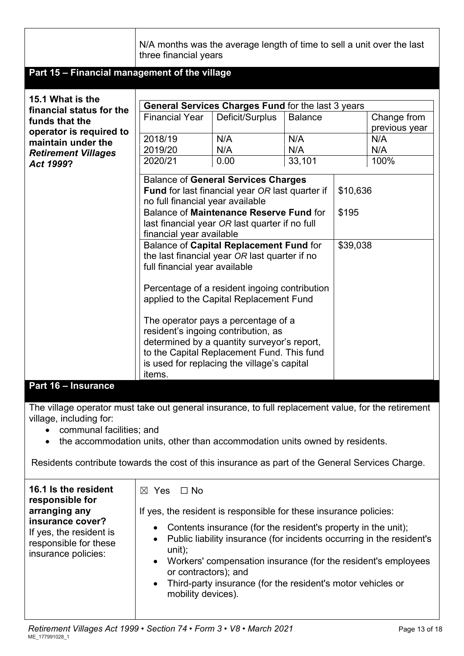|                                                                | N/A months was the average length of time to sell a unit over the last<br>three financial years                                                                                                                                       |                                                                                                                                                                                                                        |                   |          |                             |
|----------------------------------------------------------------|---------------------------------------------------------------------------------------------------------------------------------------------------------------------------------------------------------------------------------------|------------------------------------------------------------------------------------------------------------------------------------------------------------------------------------------------------------------------|-------------------|----------|-----------------------------|
| Part 15 - Financial management of the village                  |                                                                                                                                                                                                                                       |                                                                                                                                                                                                                        |                   |          |                             |
| 15.1 What is the<br>financial status for the<br>funds that the | <b>Financial Year</b>                                                                                                                                                                                                                 | General Services Charges Fund for the last 3 years<br>Deficit/Surplus                                                                                                                                                  | <b>Balance</b>    |          | Change from                 |
| operator is required to<br>maintain under the                  | 2018/19<br>2019/20                                                                                                                                                                                                                    | N/A<br>N/A                                                                                                                                                                                                             | N/A<br>N/A        |          | previous year<br>N/A<br>N/A |
| <b>Retirement Villages</b><br>Act 1999?                        | 2020/21                                                                                                                                                                                                                               | 0.00                                                                                                                                                                                                                   | 33,101            |          | 100%                        |
|                                                                | <b>Balance of General Services Charges</b><br><b>Fund</b> for last financial year OR last quarter if<br>no full financial year available<br>Balance of Maintenance Reserve Fund for<br>last financial year OR last quarter if no full |                                                                                                                                                                                                                        | \$10,636<br>\$195 |          |                             |
|                                                                | financial year available                                                                                                                                                                                                              |                                                                                                                                                                                                                        |                   |          |                             |
|                                                                | full financial year available                                                                                                                                                                                                         | Balance of Capital Replacement Fund for<br>the last financial year OR last quarter if no                                                                                                                               |                   | \$39,038 |                             |
|                                                                |                                                                                                                                                                                                                                       | Percentage of a resident ingoing contribution<br>applied to the Capital Replacement Fund                                                                                                                               |                   |          |                             |
|                                                                | items.                                                                                                                                                                                                                                | The operator pays a percentage of a<br>resident's ingoing contribution, as<br>determined by a quantity surveyor's report,<br>to the Capital Replacement Fund. This fund<br>is used for replacing the village's capital |                   |          |                             |

#### **Part 16 – Insurance**

The village operator must take out general insurance, to full replacement value, for the retirement village, including for:

- communal facilities; and
- the accommodation units, other than accommodation units owned by residents.

Residents contribute towards the cost of this insurance as part of the General Services Charge.

| 16.1 Is the resident<br>responsible for<br>arranging any<br>insurance cover?<br>If yes, the resident is<br>responsible for these<br>insurance policies: | ∩ No<br>$\boxtimes$ Yes<br>If yes, the resident is responsible for these insurance policies:<br>• Contents insurance (for the resident's property in the unit);<br>• Public liability insurance (for incidents occurring in the resident's<br>$unit)$ ;<br>• Workers' compensation insurance (for the resident's employees<br>or contractors); and<br>• Third-party insurance (for the resident's motor vehicles or<br>mobility devices). |
|---------------------------------------------------------------------------------------------------------------------------------------------------------|-------------------------------------------------------------------------------------------------------------------------------------------------------------------------------------------------------------------------------------------------------------------------------------------------------------------------------------------------------------------------------------------------------------------------------------------|
|---------------------------------------------------------------------------------------------------------------------------------------------------------|-------------------------------------------------------------------------------------------------------------------------------------------------------------------------------------------------------------------------------------------------------------------------------------------------------------------------------------------------------------------------------------------------------------------------------------------|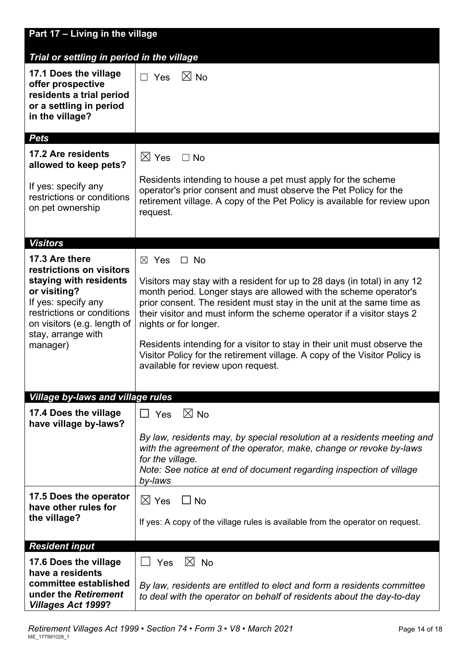| Part 17 - Living in the village                                                                                                                                                                            |                                                                                                                                                                                                                                                                                                                                                                                                                                                                                                                                                           |
|------------------------------------------------------------------------------------------------------------------------------------------------------------------------------------------------------------|-----------------------------------------------------------------------------------------------------------------------------------------------------------------------------------------------------------------------------------------------------------------------------------------------------------------------------------------------------------------------------------------------------------------------------------------------------------------------------------------------------------------------------------------------------------|
| Trial or settling in period in the village                                                                                                                                                                 |                                                                                                                                                                                                                                                                                                                                                                                                                                                                                                                                                           |
| 17.1 Does the village<br>offer prospective<br>residents a trial period<br>or a settling in period<br>in the village?                                                                                       | $\boxtimes$ No<br>$\Box$ Yes                                                                                                                                                                                                                                                                                                                                                                                                                                                                                                                              |
| <b>Pets</b>                                                                                                                                                                                                |                                                                                                                                                                                                                                                                                                                                                                                                                                                                                                                                                           |
| 17.2 Are residents<br>allowed to keep pets?<br>If yes: specify any<br>restrictions or conditions<br>on pet ownership                                                                                       | $\boxtimes$ Yes<br>$\Box$ No<br>Residents intending to house a pet must apply for the scheme<br>operator's prior consent and must observe the Pet Policy for the<br>retirement village. A copy of the Pet Policy is available for review upon<br>request.                                                                                                                                                                                                                                                                                                 |
| <b>Visitors</b>                                                                                                                                                                                            |                                                                                                                                                                                                                                                                                                                                                                                                                                                                                                                                                           |
| 17.3 Are there<br>restrictions on visitors<br>staying with residents<br>or visiting?<br>If yes: specify any<br>restrictions or conditions<br>on visitors (e.g. length of<br>stay, arrange with<br>manager) | $\boxtimes$ Yes<br>$\Box$ No<br>Visitors may stay with a resident for up to 28 days (in total) in any 12<br>month period. Longer stays are allowed with the scheme operator's<br>prior consent. The resident must stay in the unit at the same time as<br>their visitor and must inform the scheme operator if a visitor stays 2<br>nights or for longer.<br>Residents intending for a visitor to stay in their unit must observe the<br>Visitor Policy for the retirement village. A copy of the Visitor Policy is<br>available for review upon request. |
| <b>Village by-laws and village rules</b>                                                                                                                                                                   |                                                                                                                                                                                                                                                                                                                                                                                                                                                                                                                                                           |
| 17.4 Does the village<br>have village by-laws?                                                                                                                                                             | $\boxtimes$ No<br>$\Box$ Yes<br>By law, residents may, by special resolution at a residents meeting and<br>with the agreement of the operator, make, change or revoke by-laws<br>for the village.<br>Note: See notice at end of document regarding inspection of village<br>by-laws                                                                                                                                                                                                                                                                       |
| 17.5 Does the operator<br>have other rules for<br>the village?                                                                                                                                             | $\boxtimes$ Yes<br>$\Box$ No<br>If yes: A copy of the village rules is available from the operator on request.                                                                                                                                                                                                                                                                                                                                                                                                                                            |
| <b>Resident input</b>                                                                                                                                                                                      |                                                                                                                                                                                                                                                                                                                                                                                                                                                                                                                                                           |
| 17.6 Does the village<br>have a residents<br>committee established<br>under the Retirement<br><b>Villages Act 1999?</b>                                                                                    | $\boxtimes$ No<br>Yes<br>By law, residents are entitled to elect and form a residents committee<br>to deal with the operator on behalf of residents about the day-to-day                                                                                                                                                                                                                                                                                                                                                                                  |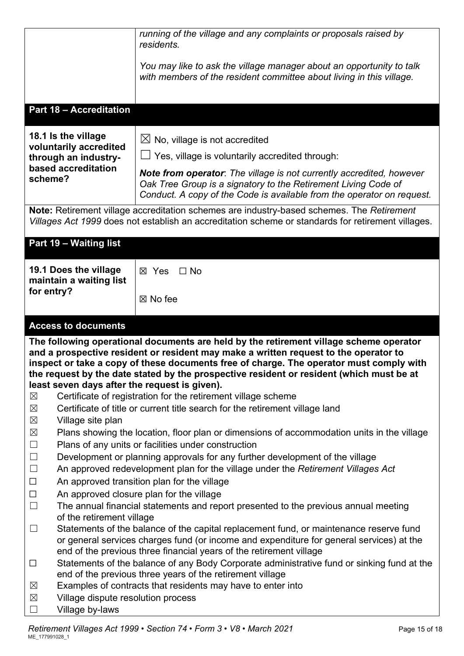| You may like to ask the village manager about an opportunity to talk<br>with members of the resident committee about living in this village.                                                                                                                                                                                                                                                                           |  |
|------------------------------------------------------------------------------------------------------------------------------------------------------------------------------------------------------------------------------------------------------------------------------------------------------------------------------------------------------------------------------------------------------------------------|--|
|                                                                                                                                                                                                                                                                                                                                                                                                                        |  |
|                                                                                                                                                                                                                                                                                                                                                                                                                        |  |
| <b>Part 18 - Accreditation</b>                                                                                                                                                                                                                                                                                                                                                                                         |  |
| 18.1 Is the village<br>$\boxtimes$ No, village is not accredited<br>voluntarily accredited                                                                                                                                                                                                                                                                                                                             |  |
| Yes, village is voluntarily accredited through:<br>through an industry-                                                                                                                                                                                                                                                                                                                                                |  |
| based accreditation<br><b>Note from operator</b> : The village is not currently accredited, however<br>scheme?<br>Oak Tree Group is a signatory to the Retirement Living Code of<br>Conduct. A copy of the Code is available from the operator on request.                                                                                                                                                             |  |
| Note: Retirement village accreditation schemes are industry-based schemes. The Retirement<br>Villages Act 1999 does not establish an accreditation scheme or standards for retirement villages.                                                                                                                                                                                                                        |  |
| Part 19 - Waiting list                                                                                                                                                                                                                                                                                                                                                                                                 |  |
| 19.1 Does the village<br>⊠ Yes<br>$\Box$ No<br>maintain a waiting list                                                                                                                                                                                                                                                                                                                                                 |  |
| for entry?<br>⊠ No fee                                                                                                                                                                                                                                                                                                                                                                                                 |  |
| <b>Access to documents</b>                                                                                                                                                                                                                                                                                                                                                                                             |  |
| The following operational documents are held by the retirement village scheme operator<br>and a prospective resident or resident may make a written request to the operator to<br>inspect or take a copy of these documents free of charge. The operator must comply with<br>the request by the date stated by the prospective resident or resident (which must be at<br>least seven days after the request is given). |  |
| Certificate of registration for the retirement village scheme<br>$\boxtimes$                                                                                                                                                                                                                                                                                                                                           |  |
|                                                                                                                                                                                                                                                                                                                                                                                                                        |  |
| Certificate of title or current title search for the retirement village land<br>$\boxtimes$                                                                                                                                                                                                                                                                                                                            |  |
| $\boxtimes$<br>Village site plan                                                                                                                                                                                                                                                                                                                                                                                       |  |
| $\boxtimes$<br>Plans showing the location, floor plan or dimensions of accommodation units in the village                                                                                                                                                                                                                                                                                                              |  |
| $\Box$<br>Plans of any units or facilities under construction                                                                                                                                                                                                                                                                                                                                                          |  |
| $\Box$<br>Development or planning approvals for any further development of the village                                                                                                                                                                                                                                                                                                                                 |  |
| $\Box$<br>An approved redevelopment plan for the village under the Retirement Villages Act                                                                                                                                                                                                                                                                                                                             |  |
| $\Box$<br>An approved transition plan for the village                                                                                                                                                                                                                                                                                                                                                                  |  |
| An approved closure plan for the village<br>$\Box$                                                                                                                                                                                                                                                                                                                                                                     |  |
| $\Box$<br>The annual financial statements and report presented to the previous annual meeting                                                                                                                                                                                                                                                                                                                          |  |
| of the retirement village<br>Statements of the balance of the capital replacement fund, or maintenance reserve fund<br>$\Box$                                                                                                                                                                                                                                                                                          |  |
| or general services charges fund (or income and expenditure for general services) at the                                                                                                                                                                                                                                                                                                                               |  |
| end of the previous three financial years of the retirement village                                                                                                                                                                                                                                                                                                                                                    |  |
| Statements of the balance of any Body Corporate administrative fund or sinking fund at the<br>$\Box$                                                                                                                                                                                                                                                                                                                   |  |
| end of the previous three years of the retirement village                                                                                                                                                                                                                                                                                                                                                              |  |
| Examples of contracts that residents may have to enter into<br>$\boxtimes$<br>$\boxtimes$<br>Village dispute resolution process                                                                                                                                                                                                                                                                                        |  |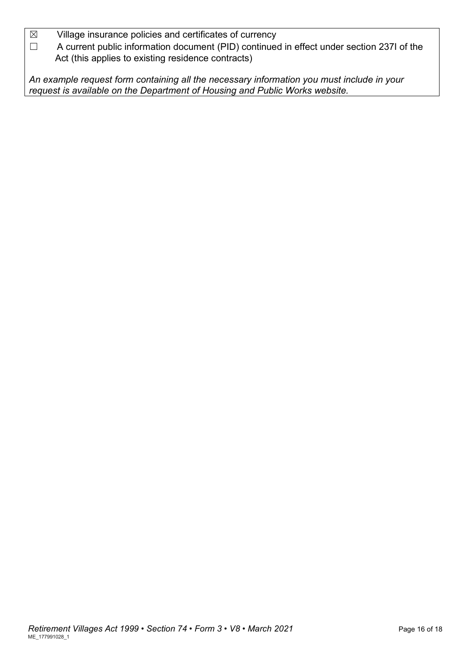$\boxtimes$  Village insurance policies and certificates of currency

☐ A current public information document (PID) continued in effect under section 237I of the Act (this applies to existing residence contracts)

*An example request form containing all the necessary information you must include in your request is available on the Department of Housing and Public Works website.*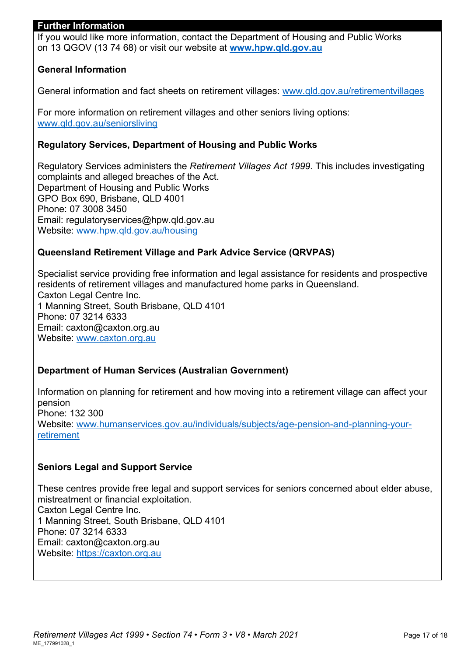#### **Further Information**

If you would like more information, contact the Department of Housing and Public Works on 13 QGOV (13 74 68) or visit our website at **[www.hpw.qld.gov.au](http://www.hpw.qld.gov.au/)**

#### **General Information**

General information and fact sheets on retirement villages: [www.qld.gov.au/retirementvillages](http://www.qld.gov.au/retirementvillages) 

For more information on retirement villages and other seniors living options: [www.qld.gov.au/seniorsliving](http://www.qld.gov.au/seniorsliving)

#### **Regulatory Services, Department of Housing and Public Works**

Regulatory Services administers the *Retirement Villages Act 1999*. This includes investigating complaints and alleged breaches of the Act. Department of Housing and Public Works GPO Box 690, Brisbane, QLD 4001 Phone: 07 3008 3450 Email: regulatoryservices@hpw.qld.gov.au Website: [www.hpw.qld.gov.au/housing](http://www.hpw.qld.gov.au/housing)

#### **Queensland Retirement Village and Park Advice Service (QRVPAS)**

Specialist service providing free information and legal assistance for residents and prospective residents of retirement villages and manufactured home parks in Queensland. Caxton Legal Centre Inc. 1 Manning Street, South Brisbane, QLD 4101 Phone: 07 3214 6333 Email: caxton@caxton.org.au Website: [www.caxton.org.au](http://www.caxton.org.au/)

#### **Department of Human Services (Australian Government)**

Information on planning for retirement and how moving into a retirement village can affect your pension Phone: 132 300 Website: www.humanservices.gov.au/individuals/subjects/age-pension-and-planning-yourretirement

#### **Seniors Legal and Support Service**

These centres provide free legal and support services for seniors concerned about elder abuse, mistreatment or financial exploitation. Caxton Legal Centre Inc. 1 Manning Street, South Brisbane, QLD 4101 Phone: 07 3214 6333 Email: caxton@caxton.org.au Website: https://caxton.org.au